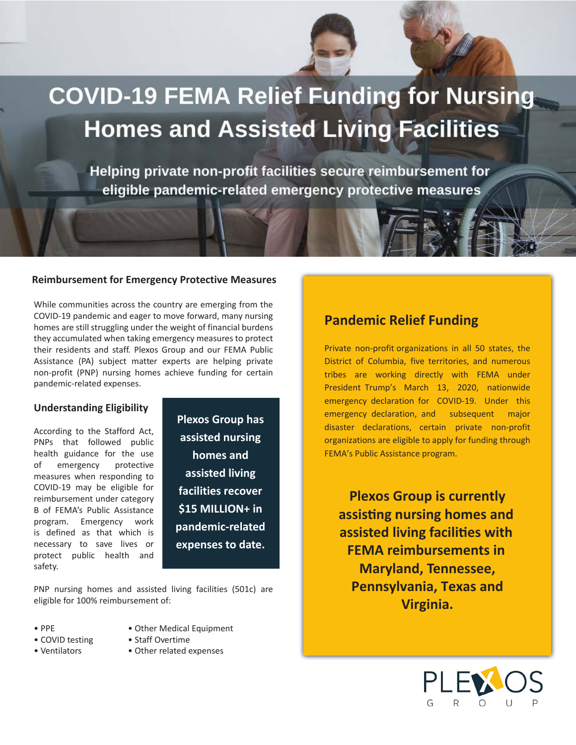# **COVID-19 FEMA Relief Funding for Nursing Homes and Assisted Living Facilities**

Helping private non-profit facilities secure reimbursement for eligible pandemic-related emergency protective measures

### **Reimbursement for Emergency Protective Measures**

While communities across the country are emerging from the COVID-19 pandemic and eager to move forward, many nursing homes are still struggling under the weight of financial burdens they accumulated when taking emergency measures to protect their residents and staff. Plexos Group and our FEMA Public Assistance (PA) subject matter experts are helping private non-profit (PNP) nursing homes achieve funding for certain pandemic-related expenses.

## **Understanding Eligibility**

According to the Stafford Act, PNPs that followed public health guidance for the use of emergency protective measures when responding to COVID-19 may be eligible for reimbursement under category B of FEMA's Public Assistance program. Emergency work is defined as that which is necessary to save lives or protect public health and safety.

**Plexos Group has assisted nursing homes and assisted living facilities recover \$15 MILLION+ in pandemic-related expenses to date.**

PNP nursing homes and assisted living facilities (501c) are eligible for 100% reimbursement of:

- PPE
- Other Medical Equipment
- Staff Overtime
- Ventilators

• COVID testing

- Other related expenses
- 

# **Pandemic Relief Funding**

Private non-profit organizations in all 50 states, the District of Columbia, five territories, and numerous tribes are working directly with FEMA under President Trump's March 13, 2020, nationwide emergency declaration for COVID-19. Under this emergency declaration, and subsequent major disaster declarations, certain private non-profit organizations are eligible to apply for funding through FEMA's Public Assistance program.

**Plexos Group is currently assisting nursing homes and assisted living facilities with FEMA reimbursements in Maryland, Tennessee, Pennsylvania, Texas and Virginia.**